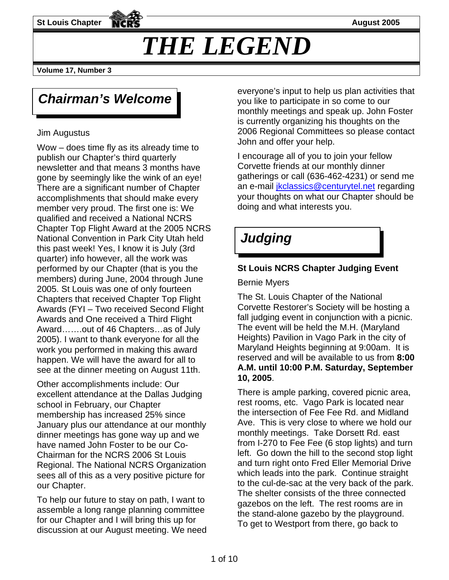**St Louis Chapter August 2005** 

# *THE LEGEND*

**Volume 17, Number 3** 

## *Chairman's Welcome*

#### Jim Augustus

Wow – does time fly as its already time to publish our Chapter's third quarterly newsletter and that means 3 months have gone by seemingly like the wink of an eve! There are a significant number of Chapter accomplishments that should make every member very proud. The first one is: We qualified and received a National NCRS Chapter Top Flight Award at the 2005 NCRS National Convention in Park City Utah held this past week! Yes, I know it is July (3rd quarter) info however, all the work was performed by our Chapter (that is you the members) during June, 2004 through June 2005. St Louis was one of only fourteen Chapters that received Chapter Top Flight Awards (FYI – Two received Second Flight Awards and One received a Third Flight Award…….out of 46 Chapters…as of July 2005). I want to thank everyone for all the work you performed in making this award happen. We will have the award for all to see at the dinner meeting on August 11th.

Other accomplishments include: Our excellent attendance at the Dallas Judging school in February, our Chapter membership has increased 25% since January plus our attendance at our monthly dinner meetings has gone way up and we have named John Foster to be our Co-Chairman for the NCRS 2006 St Louis Regional. The National NCRS Organization sees all of this as a very positive picture for our Chapter.

To help our future to stay on path, I want to assemble a long range planning committee for our Chapter and I will bring this up for discussion at our August meeting. We need everyone's input to help us plan activities that you like to participate in so come to our monthly meetings and speak up. John Foster is currently organizing his thoughts on the 2006 Regional Committees so please contact John and offer your help.

I encourage all of you to join your fellow Corvette friends at our monthly dinner gatherings or call (636-462-4231) or send me an e-mail *ikclassics@centurytel.net regarding* your thoughts on what our Chapter should be doing and what interests you.

## *Judging*

### **St Louis NCRS Chapter Judging Event**

#### Bernie Myers

The St. Louis Chapter of the National Corvette Restorer's Society will be hosting a fall judging event in conjunction with a picnic. The event will be held the M.H. (Maryland Heights) Pavilion in Vago Park in the city of Maryland Heights beginning at 9:00am. It is reserved and will be available to us from **8:00 A.M. until 10:00 P.M. Saturday, September 10, 2005**.

There is ample parking, covered picnic area, rest rooms, etc. Vago Park is located near the intersection of Fee Fee Rd. and Midland Ave. This is very close to where we hold our monthly meetings. Take Dorsett Rd. east from I-270 to Fee Fee (6 stop lights) and turn left. Go down the hill to the second stop light and turn right onto Fred Eller Memorial Drive which leads into the park. Continue straight to the cul-de-sac at the very back of the park. The shelter consists of the three connected gazebos on the left. The rest rooms are in the stand-alone gazebo by the playground. To get to Westport from there, go back to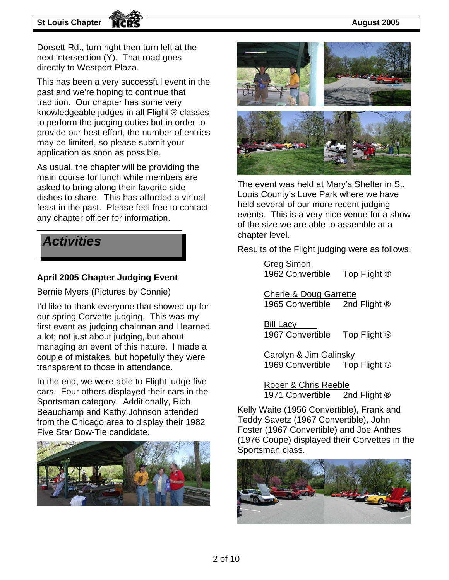#### **St Louis Chapter AICRS August 2005**

Dorsett Rd., turn right then turn left at the next intersection (Y). That road goes directly to Westport Plaza.

This has been a very successful event in the past and we're hoping to continue that tradition. Our chapter has some very knowledgeable judges in all Flight ® classes to perform the judging duties but in order to provide our best effort, the number of entries may be limited, so please submit your application as soon as possible.

As usual, the chapter will be providing the main course for lunch while members are asked to bring along their favorite side dishes to share. This has afforded a virtual feast in the past. Please feel free to contact any chapter officer for information.



#### **April 2005 Chapter Judging Event**

Bernie Myers (Pictures by Connie)

I'd like to thank everyone that showed up for our spring Corvette judging. This was my first event as judging chairman and I learned a lot; not just about judging, but about managing an event of this nature. I made a couple of mistakes, but hopefully they were transparent to those in attendance.

In the end, we were able to Flight judge five cars. Four others displayed their cars in the Sportsman category. Additionally, Rich Beauchamp and Kathy Johnson attended from the Chicago area to display their 1982 Five Star Bow-Tie candidate.





The event was held at Mary's Shelter in St. Louis County's Love Park where we have held several of our more recent judging events. This is a very nice venue for a show of the size we are able to assemble at a **Activities**<br>**Activities Results of the Flight judging were as follows:** 

Greg Simon 1962 Convertible Top Flight ®

Cherie & Doug Garrette<br>1965 Convertible 2nd Flight ® 1965 Convertible

Bill Lacy 1967 Convertible Top Flight ®

Carolyn & Jim Galinsky 1969 Convertible Top Flight ®

Roger & Chris Reeble 1971 Convertible 2nd Flight ®

Kelly Waite (1956 Convertible), Frank and Teddy Savetz (1967 Convertible), John Foster (1967 Convertible) and Joe Anthes (1976 Coupe) displayed their Corvettes in the Sportsman class.

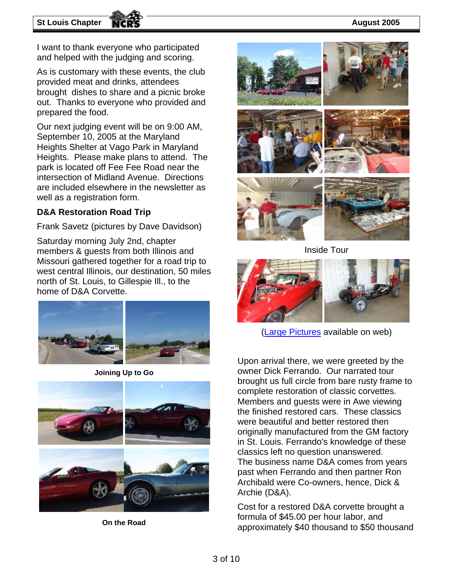#### **St Louis Chapter August 2005**

I want to thank everyone who participated and helped with the judging and scoring.

As is customary with these events, the club provided meat and drinks, attendees brought dishes to share and a picnic broke out. Thanks to everyone who provided and prepared the food.

Our next judging event will be on 9:00 AM, September 10, 2005 at the Maryland Heights Shelter at Vago Park in Maryland Heights. Please make plans to attend. The park is located off Fee Fee Road near the intersection of Midland Avenue. Directions are included elsewhere in the newsletter as well as a registration form.

#### **D&A Restoration Road Trip**

Frank Savetz (pictures by Dave Davidson)

Saturday morning July 2nd, chapter members & guests from both Illinois and Missouri gathered together for a road trip to west central Illinois, our destination, 50 miles north of St. Louis, to Gillespie Ill., to the home of D&A Corvette.



**Joining Up to Go** 



**On the Road** 



Inside Tour



[\(Large Pictures](http://stlouisncrs.org/member/05_trip_to_d_and_a.htm) available on web)

Upon arrival there, we were greeted by the owner Dick Ferrando. Our narrated tour brought us full circle from bare rusty frame to complete restoration of classic corvettes. Members and guests were in Awe viewing the finished restored cars. These classics were beautiful and better restored then originally manufactured from the GM factory in St. Louis. Ferrando's knowledge of these classics left no question unanswered. The business name D&A comes from years past when Ferrando and then partner Ron Archibald were Co-owners, hence, Dick & Archie (D&A).

Cost for a restored D&A corvette brought a formula of \$45.00 per hour labor, and approximately \$40 thousand to \$50 thousand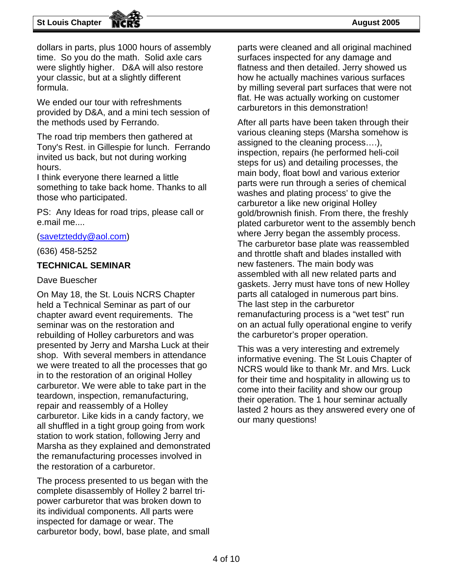dollars in parts, plus 1000 hours of assembly time. So you do the math. Solid axle cars were slightly higher. D&A will also restore your classic, but at a slightly different formula.

We ended our tour with refreshments provided by D&A, and a mini tech session of the methods used by Ferrando.

The road trip members then gathered at Tony's Rest. in Gillespie for lunch. Ferrando invited us back, but not during working hours.

I think everyone there learned a little something to take back home. Thanks to all those who participated.

PS: Any Ideas for road trips, please call or e.mail me....

[\(savetzteddy@aol.com\)](mailto:savetzteddy@aol.com)

(636) 458-5252

#### **TECHNICAL SEMINAR**

#### Dave Buescher

On May 18, the St. Louis NCRS Chapter held a Technical Seminar as part of our chapter award event requirements. The seminar was on the restoration and rebuilding of Holley carburetors and was presented by Jerry and Marsha Luck at their shop. With several members in attendance we were treated to all the processes that go in to the restoration of an original Holley carburetor. We were able to take part in the teardown, inspection, remanufacturing, repair and reassembly of a Holley carburetor. Like kids in a candy factory, we all shuffled in a tight group going from work station to work station, following Jerry and Marsha as they explained and demonstrated the remanufacturing processes involved in the restoration of a carburetor.

The process presented to us began with the complete disassembly of Holley 2 barrel tripower carburetor that was broken down to its individual components. All parts were inspected for damage or wear. The carburetor body, bowl, base plate, and small parts were cleaned and all original machined surfaces inspected for any damage and flatness and then detailed. Jerry showed us how he actually machines various surfaces by milling several part surfaces that were not flat. He was actually working on customer carburetors in this demonstration!

After all parts have been taken through their various cleaning steps (Marsha somehow is assigned to the cleaning process….), inspection, repairs (he performed heli-coil steps for us) and detailing processes, the main body, float bowl and various exterior parts were run through a series of chemical washes and plating process' to give the carburetor a like new original Holley gold/brownish finish. From there, the freshly plated carburetor went to the assembly bench where Jerry began the assembly process. The carburetor base plate was reassembled and throttle shaft and blades installed with new fasteners. The main body was assembled with all new related parts and gaskets. Jerry must have tons of new Holley parts all cataloged in numerous part bins. The last step in the carburetor remanufacturing process is a "wet test" run on an actual fully operational engine to verify the carburetor's proper operation.

This was a very interesting and extremely informative evening. The St Louis Chapter of NCRS would like to thank Mr. and Mrs. Luck for their time and hospitality in allowing us to come into their facility and show our group their operation. The 1 hour seminar actually lasted 2 hours as they answered every one of our many questions!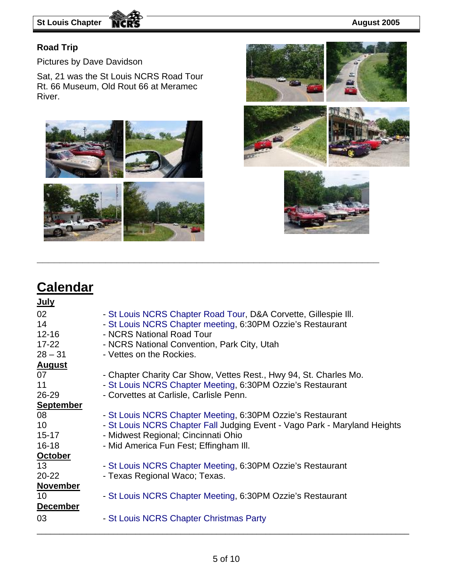#### **Road Trip**

Pictures by Dave Davidson

Sat, 21 was the St Louis NCRS Road Tour Rt. 66 Museum, Old Rout 66 at Meramec River.







## **Calendar**

| <u>July</u>      |                                                                           |
|------------------|---------------------------------------------------------------------------|
| 02               | - St Louis NCRS Chapter Road Tour, D&A Corvette, Gillespie III.           |
| 14               | - St Louis NCRS Chapter meeting, 6:30PM Ozzie's Restaurant                |
| $12 - 16$        | - NCRS National Road Tour                                                 |
| $17 - 22$        | - NCRS National Convention, Park City, Utah                               |
| $28 - 31$        | - Vettes on the Rockies.                                                  |
| <b>August</b>    |                                                                           |
| 07               | - Chapter Charity Car Show, Vettes Rest., Hwy 94, St. Charles Mo.         |
| 11               | - St Louis NCRS Chapter Meeting, 6:30PM Ozzie's Restaurant                |
| $26 - 29$        | - Corvettes at Carlisle, Carlisle Penn.                                   |
| <b>September</b> |                                                                           |
| 08               | - St Louis NCRS Chapter Meeting, 6:30PM Ozzie's Restaurant                |
| 10 <sup>°</sup>  | - St Louis NCRS Chapter Fall Judging Event - Vago Park - Maryland Heights |
| $15 - 17$        | - Midwest Regional; Cincinnati Ohio                                       |
| $16 - 18$        | - Mid America Fun Fest; Effingham III.                                    |
| <b>October</b>   |                                                                           |
| 13               | - St Louis NCRS Chapter Meeting, 6:30PM Ozzie's Restaurant                |
| $20 - 22$        | - Texas Regional Waco; Texas.                                             |
| <b>November</b>  |                                                                           |
| 10               | - St Louis NCRS Chapter Meeting, 6:30PM Ozzie's Restaurant                |
| <b>December</b>  |                                                                           |
| 03               | - St Louis NCRS Chapter Christmas Party                                   |

**\_\_\_\_\_\_\_\_\_\_\_\_\_\_\_\_\_\_\_\_\_\_\_\_\_\_\_\_\_\_\_\_\_\_\_\_\_\_\_\_\_\_\_\_\_\_\_\_\_\_\_\_\_\_\_\_\_\_\_\_** 

\_\_\_\_\_\_\_\_\_\_\_\_\_\_\_\_\_\_\_\_\_\_\_\_\_\_\_\_\_\_\_\_\_\_\_\_\_\_\_\_\_\_\_\_\_\_\_\_\_\_\_\_\_\_\_\_\_\_\_\_\_\_\_\_\_\_\_\_\_\_\_\_\_\_\_\_\_\_\_\_\_\_\_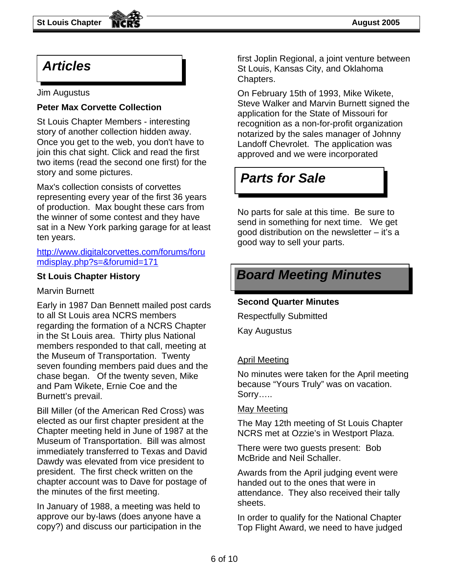### *Articles*

#### Jim Augustus

#### **Peter Max Corvette Collection**

St Louis Chapter Members - interesting story of another collection hidden away. Once you get to the web, you don't have to join this chat sight. Click and read the first two items (read the second one first) for the story and some pictures.

Max's collection consists of corvettes representing every year of the first 36 years of production. Max bought these cars from the winner of some contest and they have sat in a New York parking garage for at least ten years.

[http://www.digitalcorvettes.com/forums/foru](http://www.digitalcorvettes.com/forums/forumdisplay.php?s=&forumid=171) [mdisplay.php?s=&forumid=171](http://www.digitalcorvettes.com/forums/forumdisplay.php?s=&forumid=171)

#### **St Louis Chapter History**

Marvin Burnett

Early in 1987 Dan Bennett mailed post cards to all St Louis area NCRS members regarding the formation of a NCRS Chapter in the St Louis area. Thirty plus National members responded to that call, meeting at the Museum of Transportation. Twenty seven founding members paid dues and the chase began. Of the twenty seven, Mike and Pam Wikete, Ernie Coe and the Burnett's prevail.

Bill Miller (of the American Red Cross) was elected as our first chapter president at the Chapter meeting held in June of 1987 at the Museum of Transportation. Bill was almost immediately transferred to Texas and David Dawdy was elevated from vice president to president. The first check written on the chapter account was to Dave for postage of the minutes of the first meeting.

In January of 1988, a meeting was held to approve our by-laws (does anyone have a copy?) and discuss our participation in the first Joplin Regional, a joint venture between St Louis, Kansas City, and Oklahoma Chapters.

On February 15th of 1993, Mike Wikete, Steve Walker and Marvin Burnett signed the application for the State of Missouri for recognition as a non-for-profit organization notarized by the sales manager of Johnny Landoff Chevrolet. The application was approved and we were incorporated

### *Parts for Sale*

No parts for sale at this time. Be sure to send in something for next time. We get good distribution on the newsletter – it's a good way to sell your parts.

### *Board Meeting Minutes*

#### **Second Quarter Minutes**

Respectfully Submitted

Kay Augustus

#### April Meeting

No minutes were taken for the April meeting because "Yours Truly" was on vacation. Sorry…..

#### May Meeting

The May 12th meeting of St Louis Chapter NCRS met at Ozzie's in Westport Plaza.

There were two guests present: Bob McBride and Neil Schaller.

Awards from the April judging event were handed out to the ones that were in attendance. They also received their tally sheets.

In order to qualify for the National Chapter Top Flight Award, we need to have judged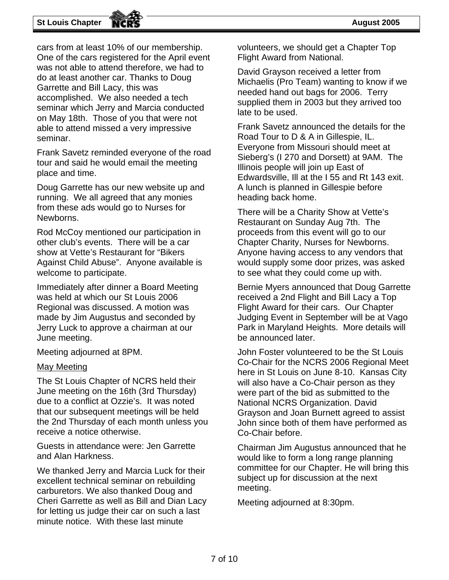#### **St Louis Chapter August 2005**

cars from at least 10% of our membership. One of the cars registered for the April event was not able to attend therefore, we had to do at least another car. Thanks to Doug Garrette and Bill Lacy, this was accomplished. We also needed a tech seminar which Jerry and Marcia conducted on May 18th. Those of you that were not able to attend missed a very impressive seminar.

Frank Savetz reminded everyone of the road tour and said he would email the meeting place and time.

Doug Garrette has our new website up and running. We all agreed that any monies from these ads would go to Nurses for Newborns.

Rod McCoy mentioned our participation in other club's events. There will be a car show at Vette's Restaurant for "Bikers Against Child Abuse". Anyone available is welcome to participate.

Immediately after dinner a Board Meeting was held at which our St Louis 2006 Regional was discussed. A motion was made by Jim Augustus and seconded by Jerry Luck to approve a chairman at our June meeting.

Meeting adjourned at 8PM.

#### May Meeting

The St Louis Chapter of NCRS held their June meeting on the 16th (3rd Thursday) due to a conflict at Ozzie's. It was noted that our subsequent meetings will be held the 2nd Thursday of each month unless you receive a notice otherwise.

Guests in attendance were: Jen Garrette and Alan Harkness.

We thanked Jerry and Marcia Luck for their excellent technical seminar on rebuilding carburetors. We also thanked Doug and Cheri Garrette as well as Bill and Dian Lacy for letting us judge their car on such a last minute notice. With these last minute

volunteers, we should get a Chapter Top Flight Award from National.

David Grayson received a letter from Michaelis (Pro Team) wanting to know if we needed hand out bags for 2006. Terry supplied them in 2003 but they arrived too late to be used.

Frank Savetz announced the details for the Road Tour to D & A in Gillespie, IL. Everyone from Missouri should meet at Sieberg's (I 270 and Dorsett) at 9AM. The Illinois people will join up East of Edwardsville, Ill at the I 55 and Rt 143 exit. A lunch is planned in Gillespie before heading back home.

There will be a Charity Show at Vette's Restaurant on Sunday Aug 7th. The proceeds from this event will go to our Chapter Charity, Nurses for Newborns. Anyone having access to any vendors that would supply some door prizes, was asked to see what they could come up with.

Bernie Myers announced that Doug Garrette received a 2nd Flight and Bill Lacy a Top Flight Award for their cars. Our Chapter Judging Event in September will be at Vago Park in Maryland Heights. More details will be announced later.

John Foster volunteered to be the St Louis Co-Chair for the NCRS 2006 Regional Meet here in St Louis on June 8-10. Kansas City will also have a Co-Chair person as they were part of the bid as submitted to the National NCRS Organization. David Grayson and Joan Burnett agreed to assist John since both of them have performed as Co-Chair before.

Chairman Jim Augustus announced that he would like to form a long range planning committee for our Chapter. He will bring this subject up for discussion at the next meeting.

Meeting adjourned at 8:30pm.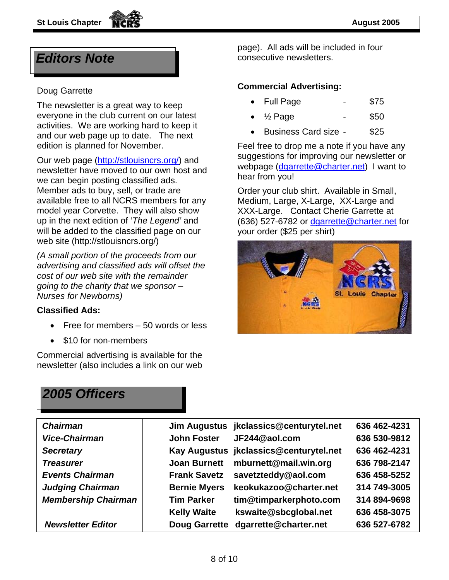everyone in the club current on our latest activities. We are working hard to keep it and our web page up to date. The next edition is planned for November.

Our web page [\(http://stlouisncrs.org/\)](http://stlouisncrs.org/) and newsletter have moved to our own host and we can begin posting classified ads. Member ads to buy, sell, or trade are available free to all NCRS members for any model year Corvette. They will also show up in the next edition of '*The Legend'* and will be added to the classified page on our web site (http://stlouisncrs.org/)

*(A small portion of the proceeds from our advertising and classified ads will offset the cost of our web site with the remainder going to the charity that we sponsor – Nurses for Newborns)* 

#### **Classified Ads:**

- Free for members 50 words or less
- \$10 for non-members

Commercial advertising is available for the newsletter (also includes a link on our web

page). All ads will be included in four *Editors Note* **Consecutive newsletters.** 

### **Commercial Advertising:** Doug Garrette

- The newsletter is a great way to keep **.** Full Page **-** \$75
	- $\frac{1}{2}$  Page \$50
	- Business Card size \$25

Feel free to drop me a note if you have any suggestions for improving our newsletter or webpage ([dgarrette@charter.net\)](mailto:dgarrette@charter.net) I want to hear from you!

Order your club shirt. Available in Small, Medium, Large, X-Large, XX-Large and XXX-Large. Contact Cherie Garrette at (636) 527-6782 or [dgarrette@charter.net](mailto:dgarrette@charter.net) for your order (\$25 per shirt)



### *2005 Officers*

|                      |                        | 636 462-4231                                                                     |
|----------------------|------------------------|----------------------------------------------------------------------------------|
| <b>John Foster</b>   | JF244@aol.com          | 636 530-9812                                                                     |
|                      |                        | 636 462-4231                                                                     |
| <b>Joan Burnett</b>  | mburnett@mail.win.org  | 636 798-2147                                                                     |
| <b>Frank Savetz</b>  | savetzteddy@aol.com    | 636 458-5252                                                                     |
| <b>Bernie Myers</b>  | keokukazoo@charter.net | 314 749-3005                                                                     |
| <b>Tim Parker</b>    | tim@timparkerphoto.com | 314 894-9698                                                                     |
| <b>Kelly Waite</b>   | kswaite@sbcglobal.net  | 636 458-3075                                                                     |
| <b>Doug Garrette</b> | dgarrette@charter.net  | 636 527-6782                                                                     |
|                      |                        | Jim Augustus jkclassics@centurytel.net<br>Kay Augustus jkclassics@centurytel.net |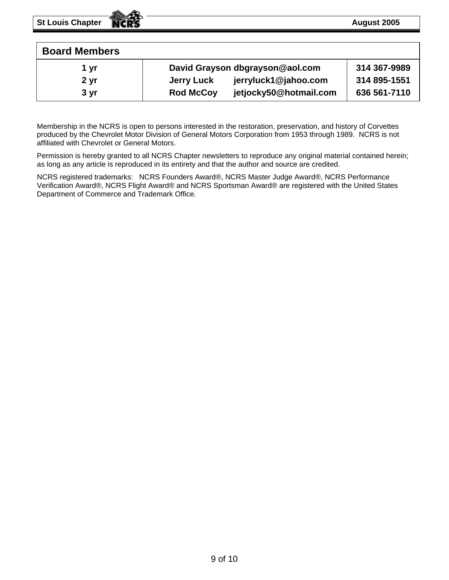| <b>Board Members</b> |                                            |              |
|----------------------|--------------------------------------------|--------------|
| 1 yr                 | David Grayson dbgrayson@aol.com            | 314 367-9989 |
| 2 <sub>yr</sub>      | jerryluck1@jahoo.com<br>Jerry Luck         | 314 895-1551 |
| 3 <sub>yr</sub>      | jetjocky50@hotmail.com<br><b>Rod McCoy</b> | 636 561-7110 |

Membership in the NCRS is open to persons interested in the restoration, preservation, and history of Corvettes produced by the Chevrolet Motor Division of General Motors Corporation from 1953 through 1989. NCRS is not affiliated with Chevrolet or General Motors.

Permission is hereby granted to all NCRS Chapter newsletters to reproduce any original material contained herein; as long as any article is reproduced in its entirety and that the author and source are credited.

NCRS registered trademarks: NCRS Founders Award®, NCRS Master Judge Award®, NCRS Performance Verification Award®, NCRS Flight Award® and NCRS Sportsman Award® are registered with the United States Department of Commerce and Trademark Office.